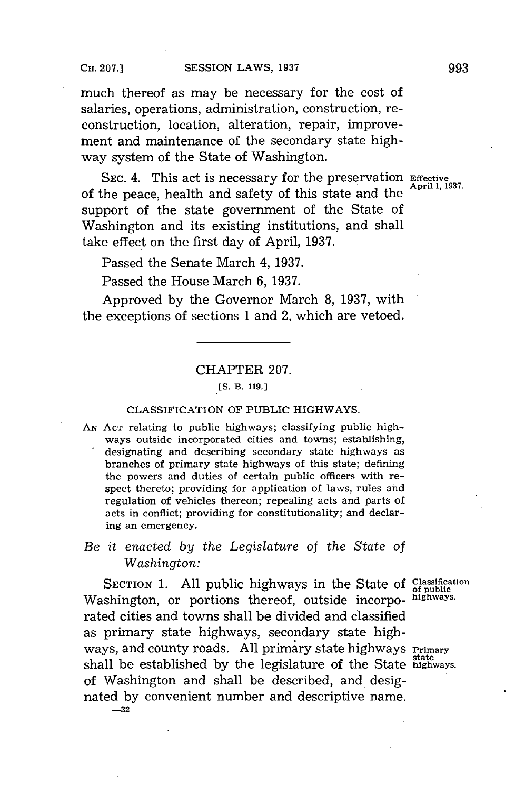much thereof as may be necessary for the cost of salaries, operations, administration, construction, reconstruction, location, alteration, repair, improvement and maintenance of the secondary state highway system of the State of Washington.

**SEC.** 4. This act is necessary for the preservation **Effective** of the peace, health and safety of this state and the support of the state government of the State of Washington and its existing institutions, and shall take effect on the first day of April, **1937.**

Passed the Senate March 4, **1937.**

Passed the House March **6, 1937.**

Approved **by** the Governor March **8, 1937,** with the exceptions of sections **1** and 2, which are vetoed.

### CHAPTER **207.**

## **[S. B. 119.]**

#### CLASSIFICATION OF **PUBLIC** HIGHWAYS.

**AN ACT** relating to public highways; classifying public highways outside incorporated cities and towns; establishing, designating and describing secondary state highways as branches of primary state highways of this state; defining the powers and duties of certain public officers with respect thereto; providing for application of laws, rules and regulation of vehicles thereon; repealing acts and parts of acts in conflict; providing for constitutionality; and declaring an emergency.

## *Be it enacted by the Legislature* of *the State of Washington:*

SECTION 1. All public highways in the State of Classification Washington, or portions thereof, outside incorpo- highways. rated cities and towns shall be divided and classified as primary state highways, secondary state highways, and county roads. **All** primary state highways **Primary** state shall be established **by** the legislature of the State **highways.** of Washington and shall be described, and designated **by** convenient number and descriptive name. **-32**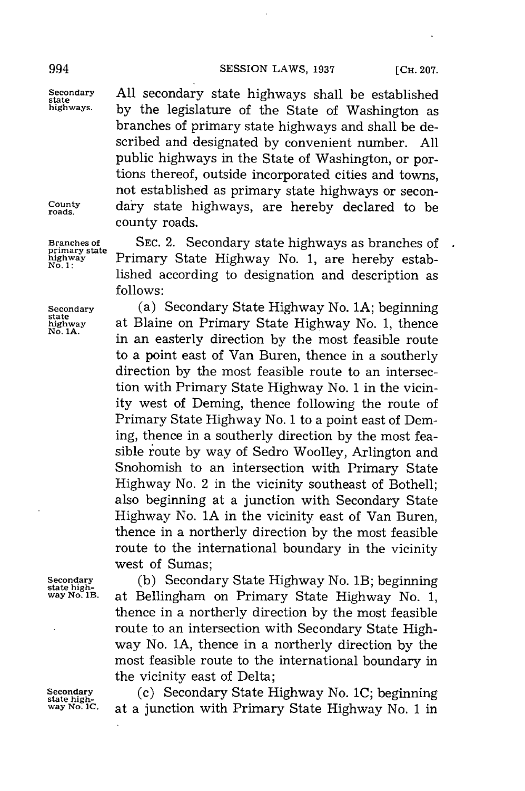Secondary **All secondary state highways shall be established**<br>
state highways. by the legislature of the State of Weshington as by the legislature of the State of Washington as branches of primary state highways and shall be described and designated **by** convenient number. **All** public highways in the State of Washington, or portions thereof, outside incorporated cities and towns, not established as primary state highways or secon-**County** dary state highways, are hereby declared to be county roads.

**Branches of SEC.** 2. Secondary state highways as branches of **primary state highway** Primary State Highway No. **1,** are hereby estab- **No. 1:** lished according to designation and description as **follows:**

**Secondary** (a) Secondary State Highway No. **1A;** beginning **state highway** at Blaine on Primary State Highway No. **1,** thence **No. 1A.** in an easterly direction **by** the most feasible route to a point east of Van Buren, thence in a southerly direction **by** the most feasible route to an intersection with Primary State Highway No. **1** in the vicinity west of Deming, thence following the route of Primary State Highway No. **1** to a point east of Deming, thence in a southerly direction **by** the most feasible route **by** way of Sedro Woolley, Arlington and Snohomish to an intersection with Primary State Highway No. 2 in the vicinity southeast of Bothell; also beginning at a junction with Secondary State Highway No. **1A** in the vicinity east of Van Buren, thence in a northerly direction **by** the most feasible route to the international boundary in the vicinity west of Sumas;

**Secondary (b)** Secondary State Highway No. 1B; beginning **state highway No. 1B.** at Bellingham on Primary State Highway No. **1,** thence in a northerly direction **by** the most feasible route to an intersection with Secondary State Highway No. **1A,** thence in a northerly direction **by** the most feasible route to the international boundary in the vicinity east of Delta;

Secondary **(c)** Secondary State Highway No. 1C; beginning state high-<br> **Secondary** State Highway No. 1 in **State Highway No. 1** in **way No. 1C.** at a junction with Primary State Highway No. **1** in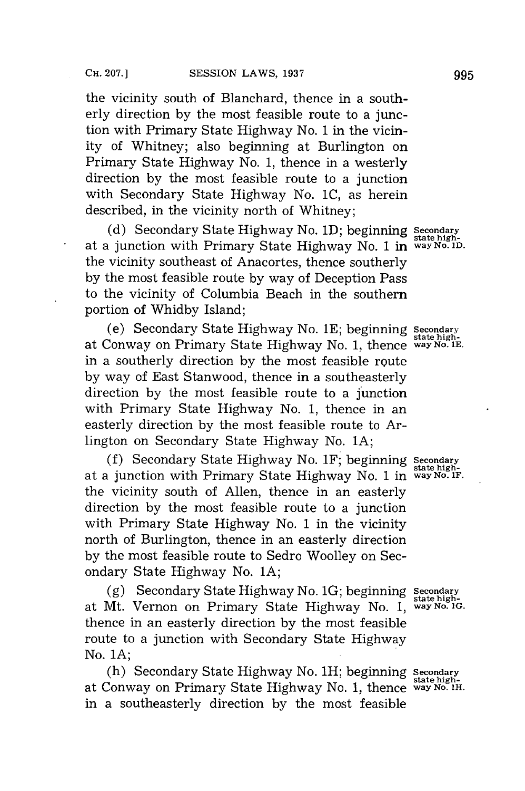the vicinity south of Blanchard, thence in a southerly direction **by** the most feasible route to a junction with Primary State Highway No. **1** in the vicinity of Whitney; also beginning at Burlington on Primary State Highway No. **1,** thence in a westerly direction **by** the most feasible route to a junction with Secondary State Highway No. **IC,** as herein described, in the vicinity north of Whitney;

**(d)** Secondary State Highway No. **1D;** beginning Secondary state highat a junction with Primary State Highway No. **1** in **way No. ID.** the vicinity southeast of Anacortes, thence southerly **by** the most feasible route **by** way of Deception Pass to the vicinity of Columbia Beach in the southern portion of Whidby Island;

(e) Secondary State Highway No. **1E;** beginning **Secondary** at Conway on Primary State Highway No. **1,** thence **way No. 1E.** in a southerly direction **by** the most feasible route **by** way of East Stanwood, thence in a southeasterly direction **by** the most feasible route to a junction with Primary State Highway No. **1,** thence in an easterly direction **by** the most feasible route to Arlington on Secondary State Highway No. **1A;**

**(f)** Secondary State Highway No. 1F; beginning **Secondary** at a junction with Primary State Highway No. 1 in **way** *No. iF.* the vicinity south of Allen, thence in an easterly direction **by** the most feasible route to a junction with Primary State Highway No. **1** in the vicinity north of Burlington, thence in an easterly direction **by** the most feasible route to Sedro Woolley on Secondary State Highway No. **1A;**

**(g)** Secondary State Highway No. **1G;** beginning **Secondary** at Mt. Vernon on Primary State Highway No. **1, way No. 1G.** thence in an easterly direction **by** the most feasible route to a junction with Secondary State Highway No. **1A;**

(h) Secondary State Highway No. 1H; beginning **Secondary** at Conway on Primary State Highway No. **1,** thence **way** No. **1H.** in a southeasterly direction **by** the most feasible

**state high-**

**state high-**

**state high-**

state high-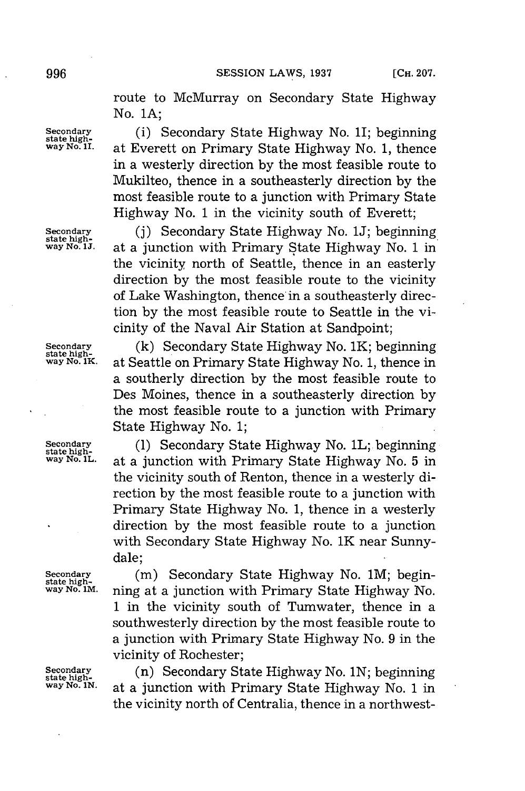route to McMurray on Secondary State Highway No. **1A;**

**Secondary** (i) Secondary State Highway No. 1I; beginning state high-<br> **WAY NO. 11.** at Everett on Primary State Highway No. 1, thence **way No.** I at Everett on Primary State Highway No. **1,** thence in a westerly direction **by** the most feasible route to Mukilteo, thence in a southeasterly direction **by** the most feasible route to a junction with Primary State Highway No. **1** in the vicinity south of Everett;

**Secondary** (j) **Secondary State Highway No. 1J; beginning**<br> **state high-**<br> **state Highway No. 1** in **way No. UJ.** at a junction with Primary State Highway No. **1** in the vicinity north of Seattle, thence in an easterly direction **by** the most feasible route to the vicinity of Lake Washington, thence in a southeasterly direction **by** the most feasible route to Seattle in the vicinity of the Naval Air Station at Sandpoint;

**Secondary (k)** Secondary State Highway No. 1K; beginning **state highway No. 1K.** at Seattle on Primary State Highway No. **1,** thence in a southerly direction **by** the most feasible route to Des Moines, thence in a southeasterly direction **by** the most feasible route to a junction with Primary State Highway No. **1;**

Secondary (1) Secondary State Highway No. 1L; beginning<br> **state high-Highway No. 1L.** at a junction with Primary State Highway No. 5 in the vicinity south of Renton, thence in a westerly direction **by** the most feasible route to a junction with Primary State Highway No. **1,** thence in a westerly direction **by** the most feasible route to a junction with Secondary State Highway No. 1K near Sunnydale;

Secondary (m) Secondary State Highway No. 1M; begin-<br>
state high-<br>
way No. 1M<sub>:</sub> ning at a junction with Primary State Highway No ning at a junction with Primary State Highway No. **1** in the vicinity south of Tumwater, thence in a southwesterly direction **by** the most feasible route to a junction with Primary State Highway No. **9** in the vicinity of Rochester;

**Secondary (n) Secondary State Highway No. 1N; beginning state high-Step in The Step in Step 3. 1 in way No. 1** in **way No. 1N.** at a junction with Primary State Highway No. **1** in the vicinity north of Centralia, thence in a northwest-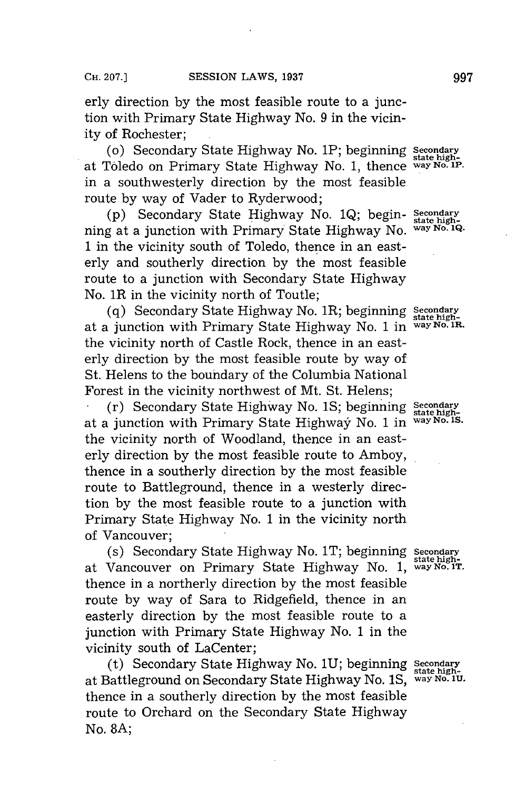erly direction **by** the most feasible route to a junction with Primary State Highway No. **9** in the vicinity of Rochester;

(o) Secondary State Highway No. 1P; beginning Secondary at Toledo on Primary State Highway No. **1,** thence **way** No. w. in a southwesterly direction **by** the most feasible route **by** way of Vader to Ryderwood;

**(p)** Secondary State Highway No. **1Q;** begin- **Secondary** ning at a junction with Primary State Highway No. **way No. 1Q. 1** in the vicinity south of Toledo, thence in an easterly and southerly direction **by** the most feasible route to a junction with Secondary State Highway No. 1R in the vicinity north of Toutle;

**(q)** Secondary State Highway No. 1R; beginning **Secondary state high**at a junction with Primary State Highway No. 1 in the vicinity north of Castle Rock, thence in an easterly direction **by** the most feasible route **by** way of St. Helens to the boundary of the Columbia National Forest in the vicinity northwest of Mt. St. Helens;

(r) Secondary State Highway No. **1S;** beginning **Secondary state high**at a junction with Primary State Highway No. **1** in **way No. IS.** the vicinity north of Woodland, thence in an easterly direction **by** the most feasible route to Amboy, thence in a southerly direction **by** the most feasible route to Battleground, thence in a westerly direction **by** the most feasible route to a junction with Primary State Highway No. **1** in the vicinity north of Vancouver;

(s) Secondary State Highway No. IT; beginning **Secondary** at Vancouver on Primary State Highway No. 1, way No. 1T. thence in a northerly direction **by** the most feasible route **by** way of Sara to Ridgefield, thence in an easterly direction **by** the most feasible route to a junction with Primary State Highway No. **1** in the vicinity south of LaCenter;

(t) Secondary State Highway No. **1U;** beginning **Stondary** at Battleground on Secondary State Highway No. **IS, way No. 1U.** thence in a southerly direction **by** the most feasible route to Orchard on the Secondary State Highway No. **8A;**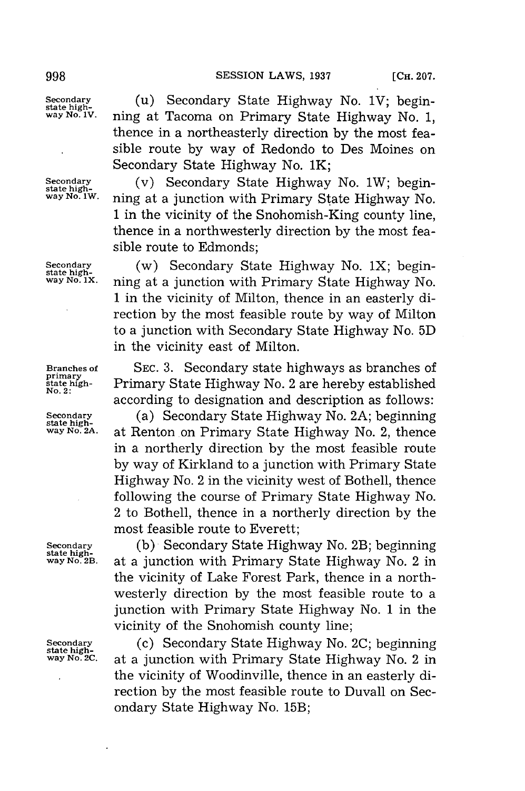state high-<br>way No. 1W.

Secondary **(u)** Secondary State Highway No. 1V; begin-<br>state high-<br>way No. 1V. **ping at Tacoma on Primary State Highway No. 1 way No. IV.** ning at Tacoma on Primary State Highway No. **1,** thence in a northeasterly direction **by** the most feasible route **by** way of Redondo to Des Moines on Secondary State Highway No. 1K;

**Secondary** (v) Secondary State Highway No. 1W; begin**way wo. 1w.** ning at a junction with Primary State Highway No. **1** in the vicinity of the Snohomish-King county line, thence in a northwesterly direction **by** the most feasible route to Edmonds;

**Secondary** (w) Secondary State Highway No. 1X; begin-<br>
state high-<br> **state High- State High- State High- state way** *No.* **Ix.** ning at a junction with Primary State Highway No. **1** in the vicinity of Milton, thence in an easterly direction **by** the most feasible route **by** way of Milton to a junction with Secondary State Highway No. **5D** in the vicinity east of Milton.

**Branches of SEC. 3.** Secondary state highways as branches of **state high-** Primary State Highway No. 2 are hereby established **No.2:** according to designation and description as follows:

**Secondary** (a) Secondary State Highway No. 2A; beginning state high-<br> **State high- State Highway No. 2** thence at Renton on Primary State Highway No. 2, thence in a northerly direction **by** the most feasible route **by** way of Kirkland to a junction with Primary State Highway No. 2 in the vicinity west of Bothell, thence following the course of Primary State Highway No. 2 to Bothell, thence in a northerly direction **by** the most feasible route to Everett;

**primary**

Secondary (b) Secondary State Highway No. 2B; beginning<br> **state high-**<br> **way No. 2B.** at a junction with Primary State Highway No. 2 in at a junction with Primary State Highway No. 2 in the vicinity of Lake Forest Park, thence in a northwesterly direction **by** the most feasible route to a junction with Primary State Highway No. **1** in the vicinity of the Snohomish county line;

**Secondary** (c) Secondary State Highway No. 2C; beginning state high-<br> **Secondary** State Highway No. 2 in way No. 2 in at a junction with Primary State Highway No. 2 in the vicinity of Woodinville, thence in an easterly direction **by** the most feasible route to Duvall on Secondary State Highway No. 15B;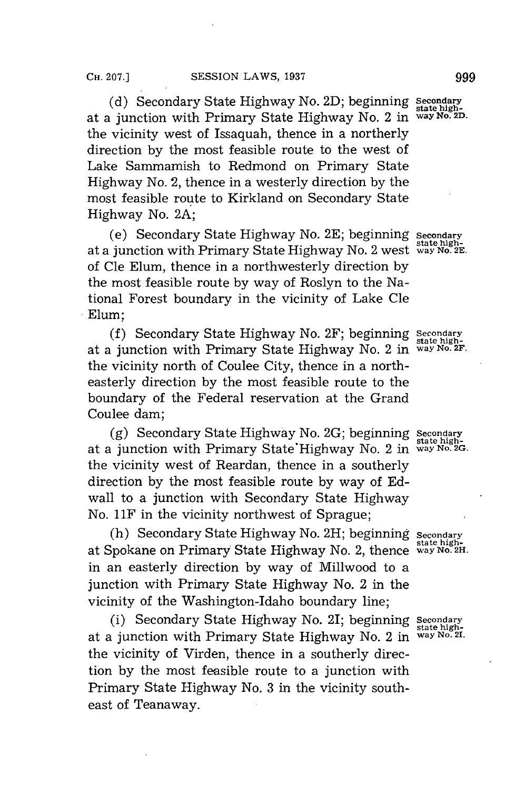**(d)** Secondary State Highway No. **2D;** beginning **Seondar** at a junction with Primary State Highway No. 2 in **way No. 2D.** the vicinity west of Issaquah, thence in a northerly direction **by** the most feasible route to the west of Lake Sammamish to Redmond on Primary State Highway No. 2, thence in a westerly direction **by** the most feasible route to Kirkland on Secondary State Highway No. **2A;**

(e) Secondary State Highway No. **2E;** beginning **Secondary** state highat a junction with Primary State Highway No. 2 west **way No. 2E.** of Cle Elum, thence in a northwesterly direction **by** the most feasible route **by** way of Roslyn to the National Forest boundary in the vicinity of Lake Cle Elum;

**(f)** Secondary State Highway No. 2F; beginning **Secondary** at a junction with Primary State Highway No. 2 in **way No. 2F.** the vicinity north of Coulee City, thence in a northeasterly direction **by** the most feasible route to the boundary of the Federal reservation at the Grand Coulee dam;

**(g)** Secondary State Highway No. **2G;** beginning **Secondary state high**at a junction with Primary State'Highway No. 2 in **way No. 2G.** the vicinity west of Reardan, thence in a southerly direction **by** the most feasible route **by** way of **Ed**wall to a junction with Secondary State Highway No. 11F in the vicinity northwest of Sprague;

(h) Secondary State Highway No. 2H; beginning secondary **state high-**at Spokane on Primary State Highway No. 2, thence **way No. 2H.** in an easterly direction **by** way of Millwood to a junction with Primary State Highway No. 2 in the vicinity of the Washington-Idaho boundary line;

(i) Secondary State Highway No. 21; beginning **Secondary** at a junction with Primary State Highway No. 2 in the vicinity of Virden, thence in a southerly direction **by** the most feasible route to a junction with Primary State Highway No. **3** in the vicinity southeast of Teanaway.

**state high-**

state high-<br>way No. 2I.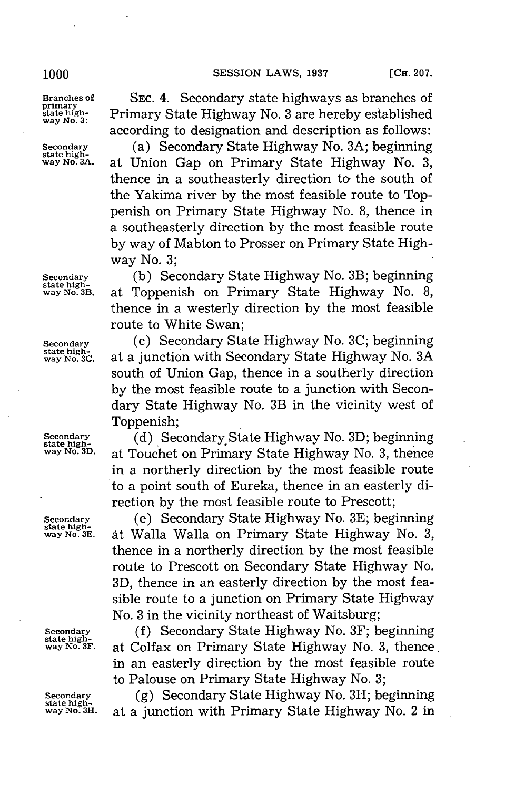#### **1000 SESSION LAWS, 1937 [CH. 207.**

state high-<br>Wa

**Branches of SEC.** 4. Secondary state highways as branches of **state high-** Primary State Highway No. **3** are hereby established **way No. 3:** according to designation and description as follows:

**Secondary** (a) Secondary State Highway No. **3A;** beginning **state highway No. 3A.** at Union Gap on Primary State Highway No. **3,** thence in a southeasterly direction to the south of the Yakima river **by** the most feasible route to Toppenish on Primary State Highway No. **8,** thence in a southeasterly direction **by** the most feasible route **by** way of Mabton to Prosser on Primary State Highway No. **3;**

**Secondary (b)** Secondary State Highway No. 3B; beginning **state highway** *No.* **B.** at Toppenish on Primary State Highway No. **8,** thence in a westerly direction **by** the most feasible route to White Swan;

**Secondary (c)** Secondary State Highway No. 3C; beginning state high-<br> **Secondary State Highway No. 3A**<br> **Secondary State Highway No. 3A way No. C.** at a junction with Secondary State Highway No. **3A** south of Union Gap, thence in a southerly direction **by** the most feasible route to a junction with Secondary State Highway No. 3B in the vicinity west of Toppenish:

**Secondary** (d) **Secondary State Highway No. 3D; beginning**<br> **state high-**<br> **state Highway No. 3** thence at Touchet on Primary State Highway No. 3, thence in a northerly direction **by** the most feasible route to a point south of Eureka, thence in an easterly direction **by** the most feasible route to Prescott;

**Secondary** (e) Secondary State Highway No. **3E;** beginning **state highway No. 3E.** at Walla Walla on Primary State Highway No. **3,** thence in a northerly direction **by** the most feasible route to Prescott on Secondary State Highway No. **3D,** thence in an easterly direction **by** the most feasible route to a junction on Primary State Highway No. **3** in the vicinity northeast of Waitsburg;

**Secondary** (f) Secondary State Highway No. 3F; beginning state high-<br> **state high-**<br> **state Highway No. 3. thence way No. 3F.** at Colfax on Primary State Highway No. **3,** thence in an easterly direction **by** the most feasible route to Palouse on Primary State Highway No. **3;**

**Secondary** (g) **Secondary State Highway No. 3H; beginning** state high-<br> **WAY NO. 3H.** at a junction with Primary State Highway No. 2 in at a junction with Primary State Highway No. 2 in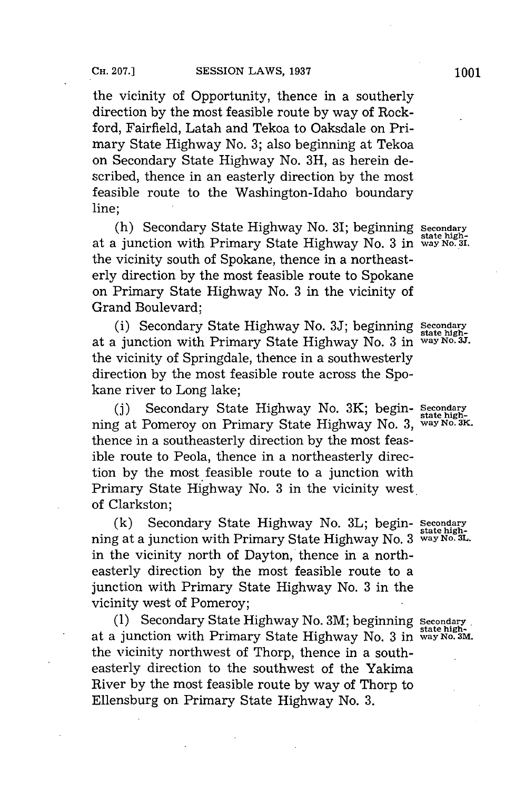the vicinity of Opportunity, thence in a southerly direction **by** the most feasible route **by** way of Rockford, Fairfield, Latah and Tekoa to Oaksdale on Primary State Highway No. **3;** also beginning at Tekoa on Secondary State Highway No. **3H,** as herein described, thence in an easterly direction **by** the most feasible route to the Washington-Idaho boundary line;

(h) Secondary State Highway No. 31; beginning **Secondary state high-**at a junction with Primary State Highway No. **3** in **way No. 31.** the vicinity south of Spokane, thence in a northeasterly direction **by** the most feasible route to Spokane on Primary State Highway No. **3** in the vicinity of Grand Boulevard;

(i) Secondary State Highway No. 3J; beginning Secondary<br>a junction with Primary State Highway No. 3 in way No. 3J. at a junction with Primary State Highway No. 3 in the vicinity of Springdale, thence in a southwesterly direction **by** the most feasible route across the Spokane river to Long lake;

**(j)** Secondary State Highway No. 3K; begin- **Secona** ning at Pomeroy on Primary State Highway No. 3, way No. 3K. thence in a southeasterly direction **by** the most feasible route to Peola, thence in a northeasterly direction **by** the most feasible route to a junction with Primary State Highway No. **3** in the vicinity west. of Clarkston;

(k) Secondary State Highway No. 3L; begin- Secondary ning at a junction with Primary State Highway No. **3 way No. 3L.** in the vicinity north of Dayton, thence in a northeasterly direction **by** the most feasible route to a junction with Primary State Highway No. **3** in the vicinity west of Pomeroy;

**(1)** Secondary State Highway No. 3M; beginning **Secondary** state high- at a junction with Primary State Highway No. **3** in **way No. 3M.** the vicinity northwest of Thorp, thence in a southeasterly direction to the southwest of the Yakima River **by** the most feasible route **by** way of Thorp to Ellensburg on Primary State Highway No. **3.**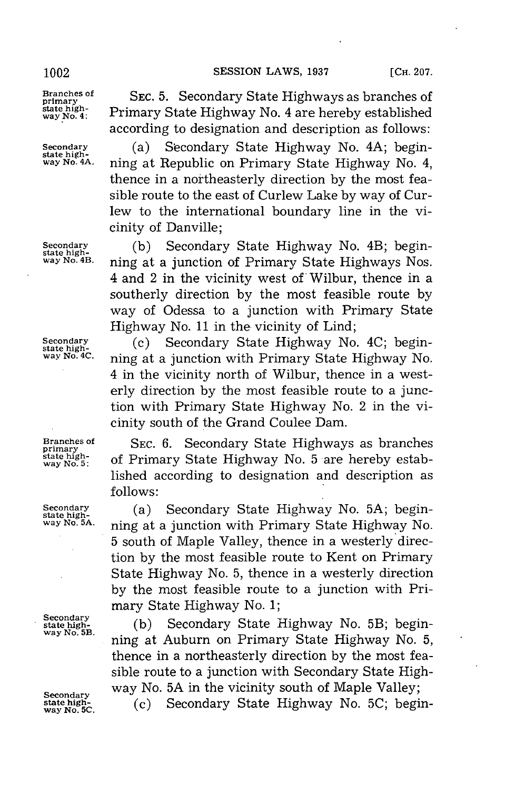state high-<br>way No. 5:

**Branches of SEC. 5.** Secondary State Highways as branches of **primary** state high-<br>way No. 4: Primary State Highway No. 4 are hereby established according to designation and description as follows:

Secondary (a) Secondary State Highway No. 4A; begin-<br> **state high-**<br> **way No. 4A.** ning at Republic on Primary State Highway No. 4 **way No. 4A.** ning at Republic on Primary State Highway No. 4, thence in a northeasterly direction **by** the most feasible route to the east of Curlew Lake **by** way of Curlew to the international boundary line in the vicinity of Danville;

**Secondary** (b) **Secondary State Highway No. 4B; begin-**<br> **state high- and n in** at a junction of Primary State Highways Nos ning at a junction of Primary State Highways Nos. 4 and 2 in the vicinity west of Wilbur, thence in a southerly direction **by** the most feasible route **by** way of Odessa to a junction with Primary State Highway No. **11** in the vicinity of Lind;

**Secondary** (c) Secondary State Highway No. 4C; begin-<br>state high-<br>way No. 4C: ping at a junction with Primary State High**way No. 4C.** ning at a junction with Primary State Highway No. 4 in the vicinity north of Wilbur, thence in a westerly direction **by** the most feasible route to a junction with Primary State Highway No. 2 in the vicinity south of the Grand Coulee Dam.

**Branches of SEC. 6.** Secondary State Highways as branches **primary** of Primary State Highway No. 5 are hereby established according to designation and description as **follows:**

**Secondary (a)** Secondary State Highway No. 5A; begin-<br>state high-<br>way No. 5A: **prime at a junction with Primery State Highway No. way No. 5A.** ning at a junction with Primary State Highway No. **5** south of Maple Valley, thence in a westerly direction **by** the most feasible route to Kent on Primary State Highway No. **5,** thence in a westerly direction **by** the most feasible route to a junction with Primary State Highway No. **1;**

Secondary<br>
state Highway No. 5B; begin-<br>
way No. 5B. **way No. 5B.** ning at Auburn on Primary State Highway No. **5,** thence in a northeasterly direction **by** the most feasible route to a junction with Secondary State High-**Secondary Way No. 5A in the vicinity south of Maple Valley;**<br> **Secondary** Secondary State Highway No. 5C; begi

state **yg.** (c) Secondary State Highway No. **5C;** begin-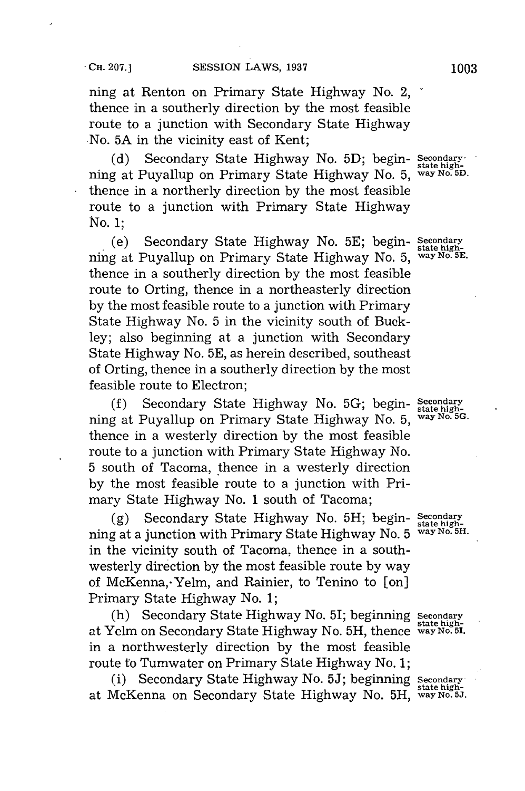ning at Renton on Primary State Highway No. 2, thence in a southerly direction **by** the most feasible route to a junction with Secondary State Highway No. **5A** in the vicinity east of Kent;

**(d)** Secondary State Highway No. **5D;** begin- **Seondary** ning at Puyallup on Primary State Highway No. **5, way No. 5D.** thence in a northerly direction **by** the most feasible route to a junction with Primary State Highway No. **1;**

(e) Secondary State Highway No. **5E;** begin- **Secondary state high**ning at Puyallup on Primary State Highway No. **5, way No. 5E.** thence in a southerly direction **by** the most feasible route to Orting, thence in a northeasterly direction **by** the most feasible route to a junction with Primary State Highway No. **5** in the vicinity south of Buckley; also beginning at a junction with Secondary State Highway No. **5E,** as herein described, southeast of Orting, thence in a southerly direction **by** the most feasible route to Electron;

**(f)** Secondary State Highway No. **5G;** begin- **Secondary state high**ning at Puyallup on Primary State Highway No. 5, thence in a westerly direction **by** the most feasible route to a junction with Primary State Highway No. **5** south of Tacoma, thence in a westerly direction **by** the most feasible route to a junction with Primary State Highway No. **1** south of Tacoma;

**(g)** Secondary State Highway No. **5H;** begin- **Secondary state high**ning at a junction with Primary State Highway No. 5 in the vicinity south of Tacoma, thence in a southwesterly direction **by** the most feasible route **by** way of McKenna, Yelm, and Rainier, to Tenino to [on] Primary State Highway No. **1;**

(h) Secondary State Highway No. 51; beginning **Secondary state high-**at Yelm on Secondary State Highway No. **5H,** thence **way No. 5.** in a northwesterly direction **by** the most feasible route to Tumwater on Primary State Highway No. **1;**

(i) Secondary State Highway No. **5J;** beginning **Secondary** state high- at McKenna on Secondary State Highway No. **5H,** way No. **5J.**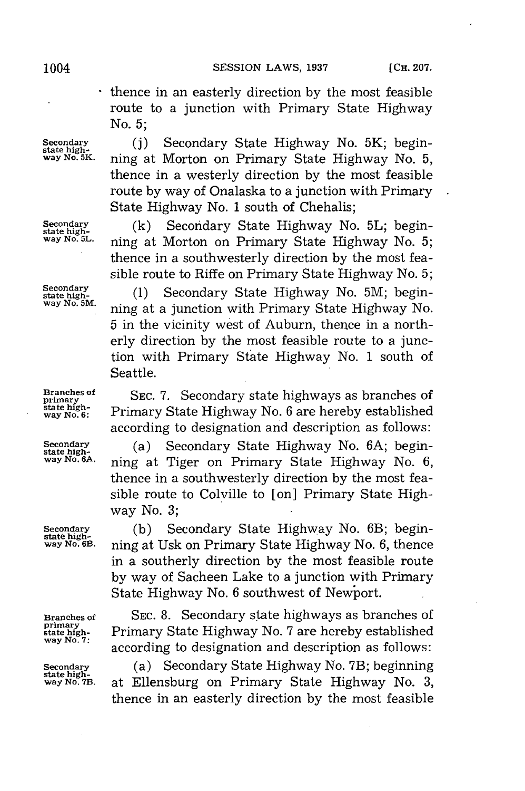- thence in an easterly direction **by** the most feasible route to a junction with Primary State Highway No. **5;**

Secondary (j) Secondary State Highway No. 5K; begin-<br>
state high-<br>
way No. 5K, ping at Morton on Primary State Highway No. 5 *way No* **5K.** ning at Morton on Primary State Highway No. **5,** thence in a westerly direction **by** the most feasible route **by** way of Onalaska to a junction with Primary State Highway No. **1** south of Chehalis;

**Secondary** (k) **Secondary State Highway No. 5L; begin-state high-Sale in the Basic conduct**  $\frac{1}{2}$ **..., was No. 5... way No. 5L.** ning at Morton on Primary State Highway No. **5;** thence in a southwesterly direction **by** the most feasible route to Riffe on Primary State Highway No. **5;**

> **state high- (1)** Secondary State Highway No. **5M;** begin**way No. 5M.** ning at a junction with Primary State Highway No. **5** in the vicinity west of Auburn, thence in a northerly direction **by** the most feasible route to a junction with Primary State Highway No. **1** south of Seattle.

**Branches of** SEC. 7. Secondary state highways as branches of primary State Highways as branches of state highstate high-**Primary State Highway No. 6 are hereby established** according to designation and description as follows:

**Secondary (a)** Secondary State Highway No. 6A; begin-<br>state high- **pair way No. 64**<br>way No. 64; **pairs at Tigor on Primary State Highway** No. 6 **way No. 6A.** ning at Tiger on Primary State Highway No. **6,** thence in a southwesterly direction **by** the most feasible route to Colville to [on] Primary State Highway No. **3;**

**Secondary** (b) Secondary State Highway No. 6B; begin-<br> **state high-**<br> **way No. 68 painting** at IIsk on Primary State Highway No. 6, thence **way No. 61.** ning at Usk on Primary State Highway No. **6,** thence in a southerly direction **by** the most feasible route **by** way of Sacheen Lake to a junction with Primary State Highway No. **6** southwest of Newport.

**Branches of SEC. 8.** Secondary state highways as branches of primary<br>state high-<br>way No. 7: according to designation and description as follows:

**Secondary** (a) Secondary State Highway No. 7B; beginning state high-<br> **state high-**<br> **way No. 7B.** at Ellensburg on Primary State Highway No. 3. **way No. 78.** at Ellensburg on Primary State Highway No. **3,** thence in an easterly direction **by** the most feasible

**Secondary<br>state high-<br>way No. 5M.** 

**primary**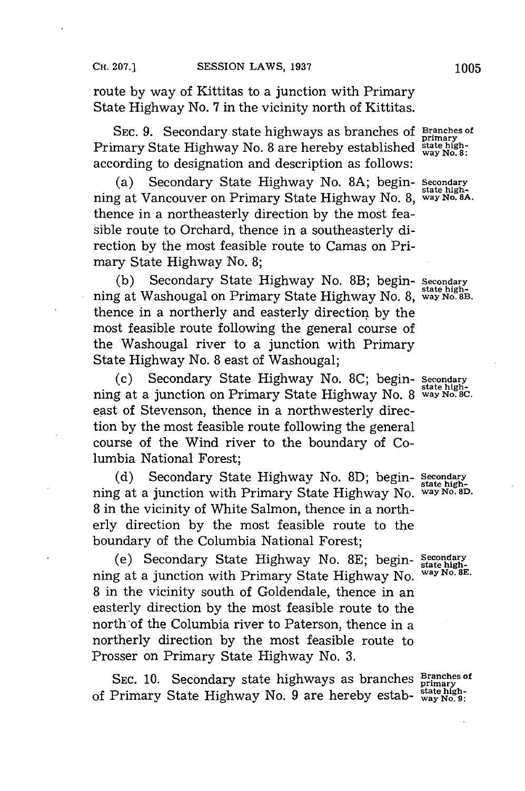route **by** way of Kittitas to a junction with Primary State Highway No. **7** in the vicinity north of Kittitas.

**SEC. 9.** Secondary state highways as branches **of Brianches of Primary State Highway No. 8 are hereby established state high-**<br>Primary State Highway No. 8 are hereby established state highaccording to designation and description as follows:

(a) Secondary State Highway No. **8A;** begin- **Secondary** ning at Vancouver on Primary State Highway No. **8, way No. 8A.** thence in a northeasterly direction **by** the most feasible route to Orchard, thence in a southeasterly direction **by** the most feasible route to Camas on Primary State Highway No. **8;**

**(b)** Secondary State Highway No. 8B; begin- **Secondary** ning at Washougal on Primary State Highway No. 8, way No. 8B. thence in a northerly and easterly direction **by** the most feasible route following the general course of the Washougal river to a junction with Primary State Highway No. **8** east of Washougal;

**(c)** Secondary State Highway No. **8C;** begin- **Secondary** ning at a junction on Primary State Highway No. 8 way No. 8C. east of Stevenson, thence in a northwesterly direction **by** the most feasible route following the general course of the Wind river to the boundary of Columbia National Forest;

(d) Secondary State Highway No. 8D; begin- Secondary ning at a junction with Primary State Highway No. **way No. 8D. 8** in the vicinity of White Salmon, thence in a northerly direction **by** the most feasible route to the boundary of the Columbia National Forest;

(e) Secondary State Highway No. **8E;** begin- **Secondary** ning at a junction with Primary State Highway No. **8** in the vicinity south of Goldendale, thence in an easterly direction **by** the most feasible route to the north'of the Columbia river to Paterson, thence in a northerly direction **by** the most feasible route to Prosser on Primary State Highway No. **3.**

SEC. 10. Secondary state highways as branches **Branches** of SEC. 10. Secondary state highways as branches primary<br>of Primary State Highway No. 9 are hereby estab-  $\frac{\text{state high-}}{\text{way No. 9}}$ 

**state high-**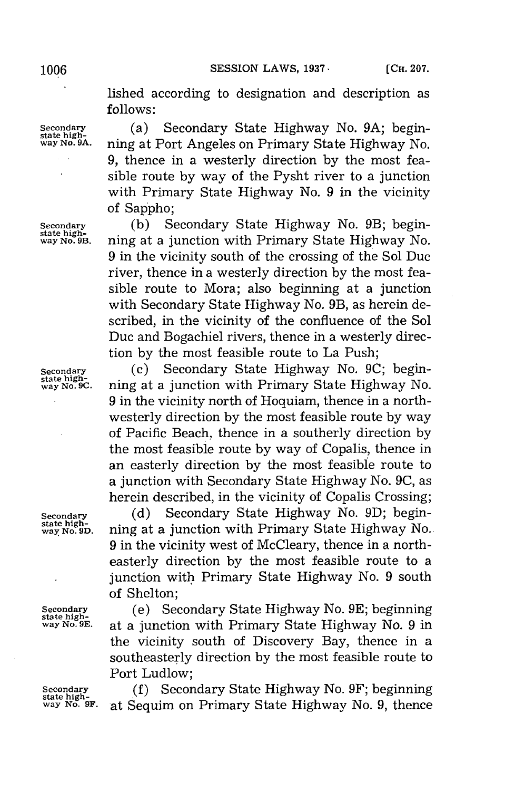**1006 SESSION LAWS, 1937 CH. 207.** 

lished according to designation and description as **follows:**

Secondary **(a)** Secondary State Highway No. 9A; begin-<br>
state high-<br>
way No. 9A. ning at Port Angeles on Primary State Highway No. **way No. 9A.** ning at Port Angeles on Primary State Highway No. **9,** thence in a westerly direction **by** the most feasible route **by** way of the Pysht river to a junction with Primary State Highway No. **9** in the vicinity of Sappho;

Secondary (b) Secondary State Highway No. 9B; begin-<br> **state high-**<br> **way No. 9B.** ning at a junction with Primary State Highway No. **way No. 9B.** ning at a junction with Primary State Highway No. **9** in the vicinity south of the crossing of the Sol Duc river, thence in a westerly direction **by** the most feasible route to Mora; also beginning at a junction with Secondary State Highway No. 9B, as herein described, in the vicinity of the confluence of the Sol Duc and Bogachiel rivers, thence in a westerly direction **by** the most feasible route to La Push;

**Secondary** (c) Secondary State Highway No. **9C;** begin**way No. 9C.** ning at a junction with Primary State Highway No. **9** in the vicinity north of Hoquiam, thence in a northwesterly direction **by** the most feasible route **by** way of Pacific Beach, thence in a southerly direction **by** the most feasible route **by** way of Copalis, thence in an easterly direction **by** the most feasible route to a junction with Secondary State Highway No. **9C,** as herein described, in the vicinity of Copalis Crossing;

Secondary (d) Secondary State Highway No. 9D; begin-<br> **state high-**<br> **way No. 9D.** ning at a junction with Primary State Highway No. **way No. 9D.** ning at a junction with Primary State Highway No. **9** in the vicinity west of McCleary, thence in a northeasterly direction **by** the most feasible route to a junction with Primary State Highway No. **9** south of Shelton;

**Secondary** (e) Secondary State Highway No. **9E;** beginning **state highway No. 9E.** at a junction with Primary State Highway No. **9** in the vicinity south of Discovery Bay, thence in a southeasterly direction **by** the most feasible route to Port Ludlow;

**Secondary (f) Secondary State Highway No. 9F; beginning state high- No. 9 Figure State Highway No. 9 thence** was No. 9. **thence** at Sequim on Primary State Highway No. 9, thence

state high-<br>way No. 9C.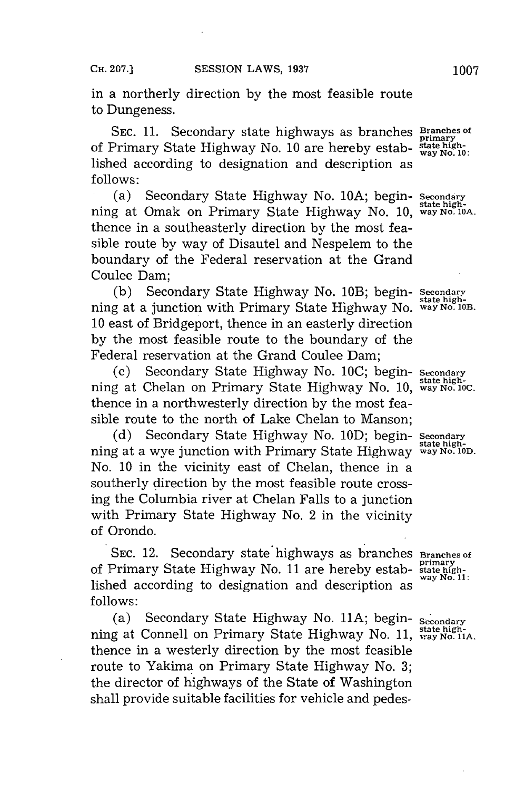in a northerly direction **by** the most feasible route to Dungeness.

**SEC. 11.** Secondary state highways as branches **Branches of** bet. 11. Secondary state highways as branches primary<br>of Primary State Highway No. 10 are hereby estab-  $\frac{\text{stat}}{\text{way No}}$ , 10 lished according to designation and description as **follows:**

(a) Secondary State Highway No. **1OA;** begin- Secondary ning at Omak on Primary State Highway No. 10, way No. 10A. thence in a southeasterly direction **by** the most feasible route **by** way of Disautel and Nespelem to the boundary of the Federal reservation at the Grand Coulee Dam;

(b) Secondary State Highway No. 10B; begin- Secondary ning at a junction with Primary State Highway No. way No. 10B. **10** east of Bridgeport, thence in an easterly direction **by** the most feasible route to the boundary of the Federal reservation at the Grand Coulee Dam;

(c) Secondary State Highway No. **1OC;** begin- **Secondary** ning at Chelan on Primary State Highway No. 10, way No. 10C. thence in a northwesterly direction **by** the most feasible route to the north of Lake Chelan to Manson;

**(d)** Secondary State Highway No. **1OD;** begin- **Secondary** ning at a wye junction with Primary State Highway way No. 10D. No. **10** in the vicinity east of Chelan, thence in a southerly direction **by** the most feasible route crossing the Columbia river at Chelan Falls to a junction with Primary State Highway No. 2 in the vicinity of Orondo.

**SEC. 12.** Secondary state highways as branches **Branches** of of Primary State Highway No. **11** are hereby estab- **state highway No. 11:** lished according to designation and description as **follows:**

(a) Secondary State Highway No. **11A;** begin- **secondary** ning at Connell on Primary State Highway No. 11, state highthence in a westerly direction **by** the most feasible route to Yakima on Primary State Highway No. **3;** the director of highways of the State of Washington shall provide suitable facilities for vehicle and pedes-

**state high-**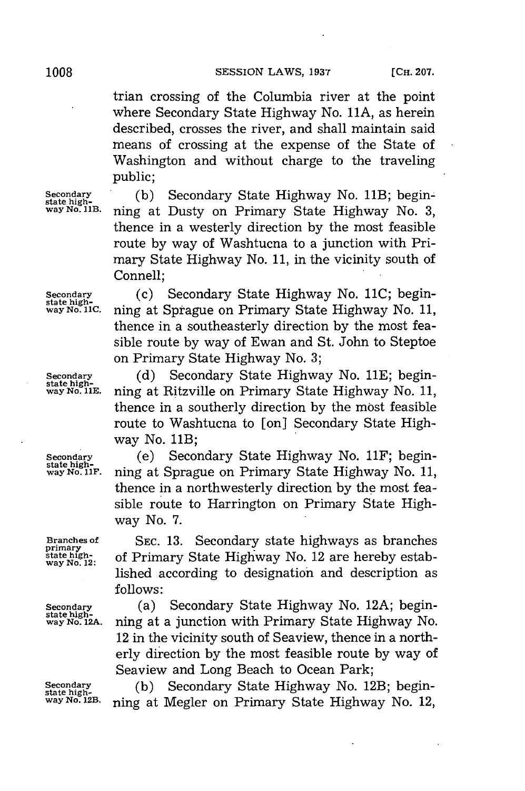trian crossing of the Columbia river at the point where Secondary State Highway No. **11A,** as herein described, crosses the river, and shall maintain said means of crossing at the expense of the State of Washington and without charge to the traveling public;

**Secondary (b)** Secondary State Highway No. 11B; begin- **state high-Hiha way No. 11B.** ning at Dusty on Primary State Highway No. **3,** thence in a westerly direction **by** the most feasible route **by** way of Washtucna to a junction with Primary State Highway No. **11,** in the vicinity south of Connell;

**Secondary** (c) Secondary State Highway No. **11C;** begin- state high- wayNo.nc. ning at Sprague on Primary State Highway No. **11,**

primary<br>state high-<br>way No. 12:

thence in a southeasterly direction **by** the most feasible route **by** way of Ewan and St. John to Steptoe on Primary State Highway No. **3;** Secondary (d) Secondary State Highway No. 11E; begin-<br> **state high-**<br> **way No. 11E.** ning at Ritzville on Primary State Highway No. 11. **way No. 11E.** ning at Ritzville on Primary State Highway No. **11,**

thence in a southerly direction **by** the most feasible route to Washtucna to [on] Secondary State Highway No. 11B;

**Secondary** (e) Secondary State Highway No. 11F; begin- **state highway No. uF.** ning at Sprague on Primary State Highway No. **11,** thence in a northwesterly direction **by** the most feasible route to Harrington on Primary State Highway No. **7.**

**Branches of SEC. 13. Secondary state highways as branches** of Primary State Highway No. 12 are hereby established according to designation and description as **follows:**

**Secondary** (a) Secondary State Highway No. **12A;** begin- **state highway No. 12A.** ning at a junction with Primary State Highway No. 12 in the vicinity south of Seaview, thence in a northerly direction **by** the most feasible route **by** way of Seaview and Long Beach to Ocean Park;

Secondary (b) Secondary State Highway No. 12B; begin-<br> **way No. 12B. ning at Megler on Primary State Highway No. 12**,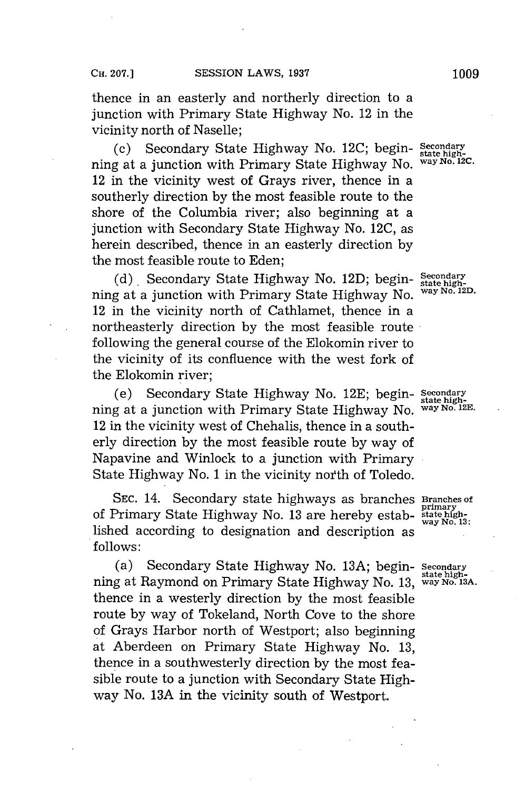thence in an easterly and northerly direction to a junction with Primary State Highway No. 12 in the vicinity north of Naselle;

(c) Secondary State Highway No. **12C;** begin- **Secondary** ning at a junction with Primary State Highway No. 12 in the vicinity west of Grays river, thence in a southerly direction **by** the most feasible route to the shore of the Columbia river; also beginning at a junction with Secondary State Highway No. **12C,** as herein described, thence in an easterly direction **by** the most feasible route to Eden;

(d) Secondary State Highway No. 12D; begin-  $\frac{\text{Secondary}}{\text{state high}}$ ning at a junction with Primary State Highway No. 12 in the vicinity north of Cathlamet, thence in a northeasterly direction **by** the most feasible route following the general course of the Elokomin river to the vicinity of its confluence with the west fork of the Elokomin river;

(e) Secondary State Highway No. **12E;** begin- **Secondary state high**ning at a junction with Primary State Highway No. **way No. 12E.** 12 in the vicinity west of Chehalis, thence in a southerly direction **by** the most feasible route **by** way of Napavine and Winlock to a junction with Primary State Highway No. 1 in the vicinity north of Toledo.

**SEC.** 14. Secondary state highways as branches **Branches of** of Primary State Highway No. 13 are hereby established according to designation and description as **follows:**

(a) Secondary State Highway No. **13A;** begin- **Secondary state high-** ning at Raymond on Primary State Highway No. **13, way** *No.* **13A.** thence in a westerly direction **by** the most feasible route **by** way of Tokeland, North Cove to the shore of Grays Harbor north of Westport; also beginning at Aberdeen on Primary State Highway No. **13,** thence in a southwesterly direction **by** the most feasible route to a junction with Secondary State Highway No. **13A** in the vicinity south of Westport.

**way No. 13:**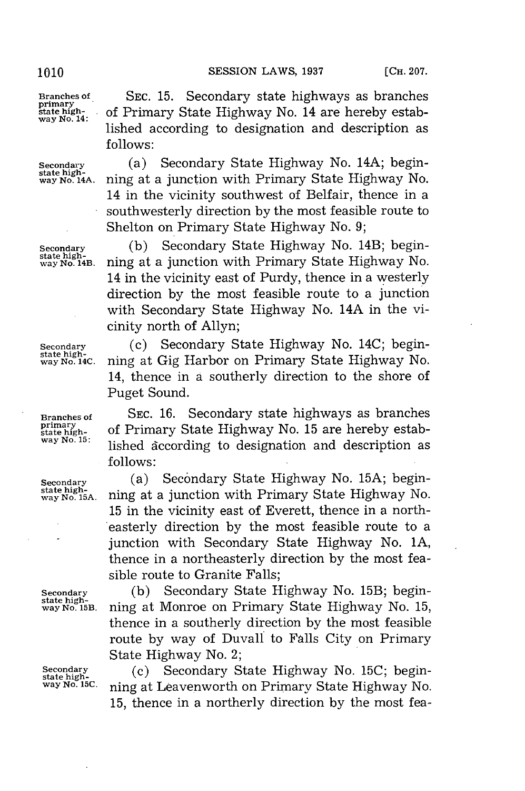## **1010 SESSION LAWS, 1937 [CH. 207.**

**Branches of. SEC. 15.** Secondary state highways as branches **primary**

state high-<br>way No. 14C.

**state high- . of** Primary State Highway No. 14 are hereby established according to designation and description as **follows:**

Secondary (a) Secondary State Highway No. 14A; begin-<br> **state high-**<br> **way No. 14A.** ning at a junction with Primary State Highway No. **way No. 14A.** ming at a junction with Primary State Highway No. 14 in the vicinity southwest of Belfair, thence in a southwesterly direction **by** the most feasible route to Shelton on Primary State Highway No. **9;**

Secondary (b) Secondary State Highway No. 14B; begin-<br> **Secondary** State high-<br> **Secondary** No. 14B. ning at a junction with Primary State Highway No. **way No. 14B.** ning at a junction with Primary State Highway No. 14 in the vicinity east of Purdy, thence in a westerly direction **by** the most feasible route to a junction with Secondary State Highway No. 14A in the vicinity north of Allyn;

**Secondary** (c) Secondary State Highway No. 14C; beginning at Gig Harbor on Primary State Highway No. 14, thence in a southerly direction to the shore of Puget Sound.

**Branches of SEC. 16.** Secondary state highways as branches **primary** of Primary State Highway No. 15 are hereby establishing the state high**way No. 15:** lished dccording to designation and description as **follows:**

**Secondary (a)** Secondary State Highway No. 15A; begin-<br> **state high-**<br> **state Nighway No.** 15A. ning at a junction with Primary State Highway No. **way No. 15A.** ning at a junction with Primary State Highway No. **15** in the vicinity east of Everett, thence in a northeasterly direction **by** the most feasible route to a junction with Secondary State Highway No. **1A,** thence in a northeasterly direction **by** the most feasible route to Granite Falls;

Secondary (b) Secondary State Highway No. 15B; begin-<br> **state high-**<br>
way No. 15B. ning at Monroe on Primary State Highway No. 15. **way No.** 15B. ning at Monroe on Primary State Highway No. **15,** thence in a southerly direction **by** the most feasible route **by** way of Duvall to Falls City on Primary State Highway No. 2;

**Secondary** (c) Secondary State Highway No. **15C;** begin- **state high-Hiha** lC;bgn **way No. 15C.** ning at Leavenworth on Primary State Highway No. **15,** thence in a northerly direction **by** the most fea-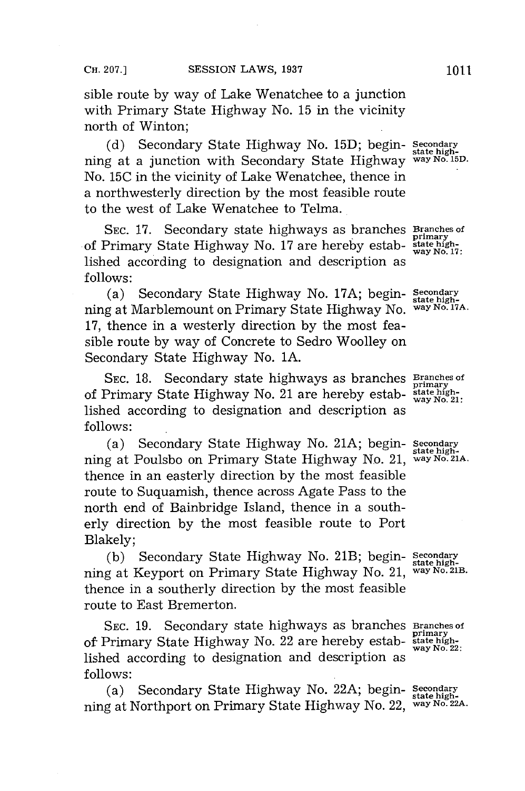sible route **by** way of Lake Wenatchee to a junction with Primary State Highway No. **15** in the vicinity north of Winton;

**(d)** Secondary State Highway No. **15D;** begin- **condar** ning at a junction with Secondary State Highway **way No. 15D.** No. **15C** in the vicinity of Lake Wenatchee, thence in a northwesterly direction **by** the most feasible route to the west of Lake Wenatchee to Telma.

**SEC. 17.** Secondary state highways as branches **Branches of** of Primary State Highway No. 17 are hereby established according to designation and description as **follows:**

(a) Secondary State Highway No. **17A;** begin- **Secondary state high**ning at Marblemount on Primary State Highway No. **17,** thence in a westerly direction **by** the most feasible route **by** way of Concrete to Sedro Woolley on Secondary State Highway No. **1A.**

SEC. 18. Secondary state highways as branches **Branches of primary** of Primary State Highway No. 21 are hereby estab- **state high-way No. 21:** lished according to designation and description as **follows:**

(a) Secondary State Highway No. **21A;** begin- **Secondary** ning at Poulsbo on Primary State Highway No. 21, **way No. 21A.** thence in an easterly direction **by** the most feasible route to Suquamish, thence across Agate Pass to the north end of Bainbridge Island, thence in a southerly direction **by** the most feasible route to Port Blakely;

**(b)** Secondary State Highway No. 21B; begin- **Secondary** ning at Keyport on Primary State Highway No. 21, **way No. 21B.** thence in a southerly direction **by** the most feasible route to East Bremerton.

SEC. 19. Secondary state highways as branches Branches of of Primary State Highway No. 22 are hereby estab- **state high-**<br>
of Primary State Highway No. 22 are hereby estab- **state high**lished according to designation and description as **follows:**

(a) Secondary State Highway No. 22A; begin- secondary ning at Northport on Primary State Highway No. 22, **way No. 22A.**

primary<br>state high**way No. 17:**

**state high-**

**state high-**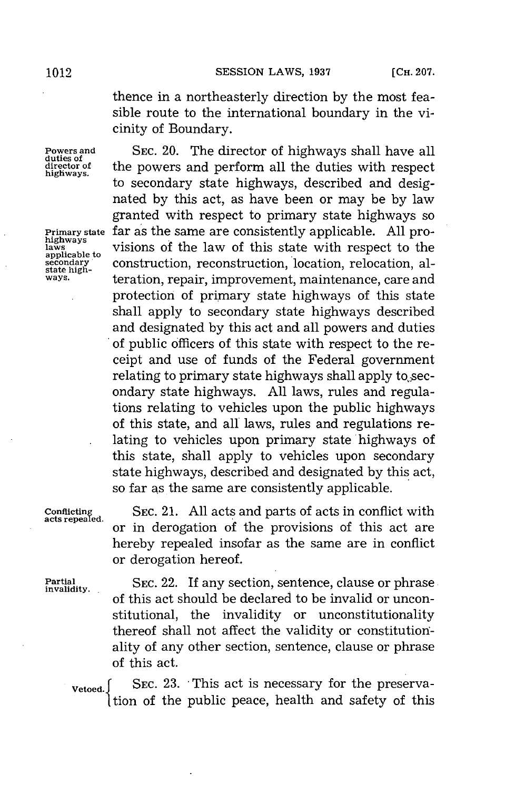thence in a northeasterly direction **by** the most feasible route to the international boundary in the vicinity of Boundary.

**Powers and** SEC. 20. The director of highways shall have all duties of the powers and perform all the duties with respect director of the powers and perform all the duties with respect highways. to secondary state highways, described and designated **by** this act, as have been or may be **by** law granted with respect to primary state highways so **Primary state** far as the same are consistently applicable. All pro-<br>highways visions of the law of this state with respect to the secondary construction, reconstruction, location, relocation, al-<br>state high**secondary** construction, reconstruction, location, relocation, al-<br>state high-<br>ways. **teration repair improvement maintenance** care and teration, repair, improvement, maintenance, care and protection of primary state highways of this state shall apply to secondary state highways described and designated **by** this act and all powers and duties of public officers of this state with respect to the receipt and use of funds of the Federal government relating to primary state highways shall apply to secondary state highways. **All** laws, rules and regulations relating to vehicles upon the public highways of this state, and all laws, rules and regulations relating to vehicles upon primary state highways of this state, shall apply to vehicles upon secondary state highways, described and designated **by** this act, so far as the same are consistently applicable.

**acts repealed.**

**Partial**  SEC. 22. If any section, sentence, clause or phrase of this act should be declared to be invalid or unconstitutional, the invalidity or unconstitutionality thereof shall not affect the validity or constitutionality of any other section, sentence, clause or phrase of this act.

SEC. 21. All acts and parts of acts in conflict with

or in derogation of the provisions of this act are hereby repealed insofar as the same are in conflict

**Vetoed.** SEC. 23. This act is necessary for the preservation of the public peace, health and safety of this

or derogation hereof.